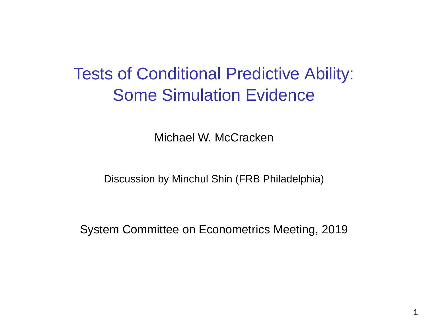## Tests of Conditional Predictive Ability: Some Simulation Evidence

Michael W. McCracken

Discussion by Minchul Shin (FRB Philadelphia)

System Committee on Econometrics Meeting, 2019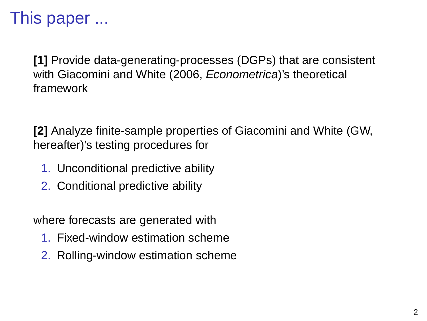# This paper ...

**[1]** Provide data-generating-processes (DGPs) that are consistent with Giacomini and White (2006, *Econometrica*)'s theoretical framework

**[2]** Analyze finite-sample properties of Giacomini and White (GW, hereafter)'s testing procedures for

- 1. Unconditional predictive ability
- 2. Conditional predictive ability

where forecasts are generated with

- 1. Fixed-window estimation scheme
- 2. Rolling-window estimation scheme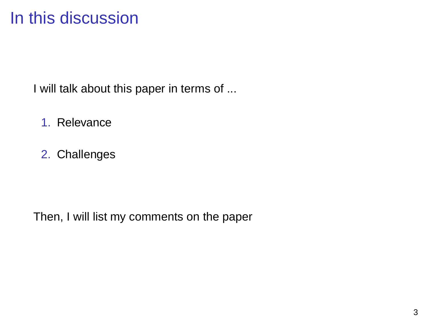## In this discussion

I will talk about this paper in terms of ...

- 1. Relevance
- 2. Challenges

Then, I will list my comments on the paper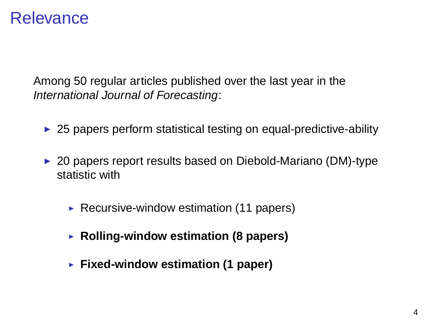### **Relevance**

Among 50 regular articles published over the last year in the International Journal of Forecasting:

- $\triangleright$  25 papers perform statistical testing on equal-predictive-ability
- $\triangleright$  20 papers report results based on Diebold-Mariano (DM)-type statistic with
	- Recursive-window estimation  $(11$  papers)
	- ▶ Rolling-window estimation (8 papers)
	- **Fixed-window estimation (1 paper)**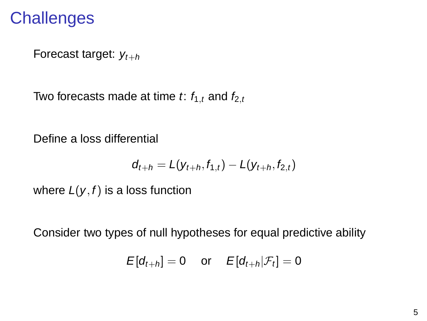## **Challenges**

Forecast target:  $y_{t+h}$ 

Two forecasts made at time t:  $f_{1,t}$  and  $f_{2,t}$ 

Define a loss differential

$$
d_{t+h} = L(y_{t+h}, f_{1,t}) - L(y_{t+h}, f_{2,t})
$$

where  $L(y, f)$  is a loss function

Consider two types of null hypotheses for equal predictive ability

$$
E[d_{t+h}] = 0 \quad \text{or} \quad E[d_{t+h}|\mathcal{F}_t] = 0
$$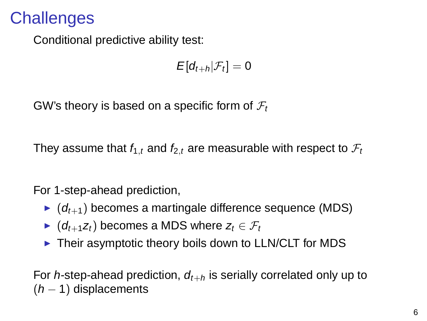## **Challenges**

Conditional predictive ability test:

$$
E[d_{t+h}|\mathcal{F}_t]=0
$$

GW's theory is based on a specific form of  $\mathcal{F}_t$ 

They assume that  $f_{1,t}$  and  $f_{2,t}$  are measurable with respect to  $\mathcal{F}_t$ 

For 1-step-ahead prediction,

- $\bullet$  ( $d_{t+1}$ ) becomes a martingale difference sequence (MDS)
- $\blacktriangleright$  (d<sub>t+1</sub>z<sub>t</sub>) becomes a MDS where  $z_t \in \mathcal{F}_t$
- $\triangleright$  Their asymptotic theory boils down to LLN/CLT for MDS

For h-step-ahead prediction,  $d_{t+h}$  is serially correlated only up to  $(h - 1)$  displacements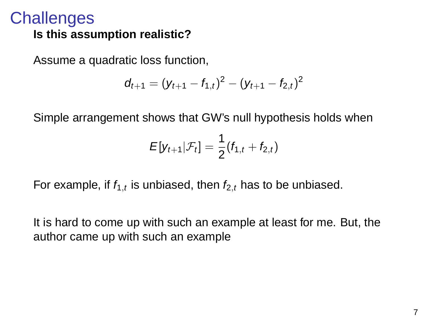#### **Challenges Is this assumption realistic?**

Assume a quadratic loss function,

$$
d_{t+1}=(y_{t+1}-f_{1,t})^2-(y_{t+1}-f_{2,t})^2
$$

Simple arrangement shows that GW's null hypothesis holds when

$$
E[y_{t+1}|\mathcal{F}_t] = \frac{1}{2}(f_{1,t} + f_{2,t})
$$

For example, if  $f_1$ , is unbiased, then  $f_2$ , has to be unbiased.

It is hard to come up with such an example at least for me. But, the author came up with such an example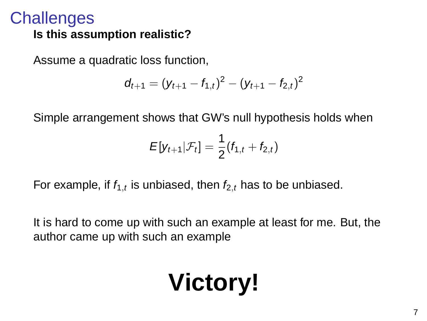#### **Challenges Is this assumption realistic?**

Assume a quadratic loss function,

$$
d_{t+1}=(y_{t+1}-f_{1,t})^2-(y_{t+1}-f_{2,t})^2
$$

Simple arrangement shows that GW's null hypothesis holds when

$$
E[y_{t+1}|\mathcal{F}_t] = \frac{1}{2}(f_{1,t} + f_{2,t})
$$

For example, if  $f_1$ , is unbiased, then  $f_2$ , has to be unbiased.

It is hard to come up with such an example at least for me. But, the author came up with such an example

# **Victory!**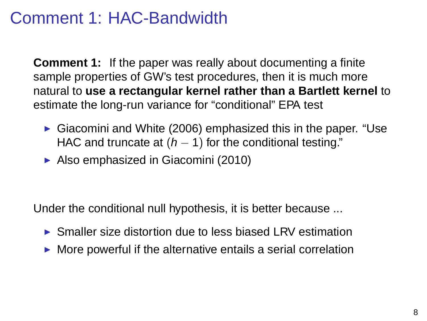## Comment 1: HAC-Bandwidth

**Comment 1:** If the paper was really about documenting a finite sample properties of GW's test procedures, then it is much more natural to **use a rectangular kernel rather than a Bartlett kernel** to estimate the long-run variance for "conditional" EPA test

- Giacomini and White (2006) emphasized this in the paper. "Use HAC and truncate at  $(h - 1)$  for the conditional testing."
- ▶ Also emphasized in Giacomini (2010)

Under the conditional null hypothesis, it is better because ...

- $\triangleright$  Smaller size distortion due to less biased LRV estimation
- $\triangleright$  More powerful if the alternative entails a serial correlation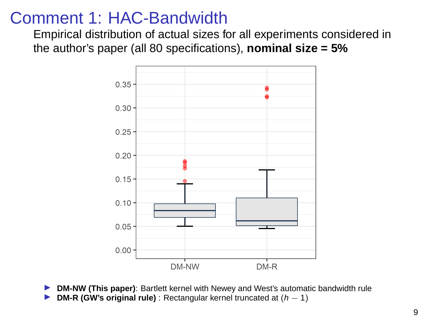### Comment 1: HAC-Bandwidth

Empirical distribution of actual sizes for all experiments considered in the author's paper (all 80 specifications), **nominal size = 5%**



- **DM-NW (This paper):** Bartlett kernel with Newey and West's automatic bandwidth rule
- **DM-R (GW's original rule)** : Rectangular kernel truncated at  $(h 1)$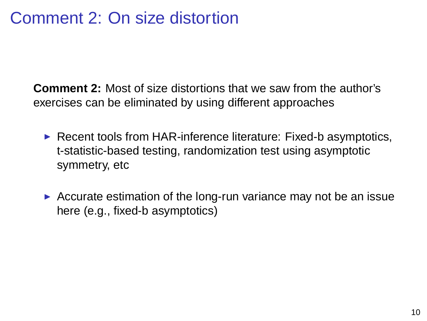## Comment 2: On size distortion

**Comment 2:** Most of size distortions that we saw from the author's exercises can be eliminated by using different approaches

- $\triangleright$  Recent tools from HAR-inference literature: Fixed-b asymptotics, t-statistic-based testing, randomization test using asymptotic symmetry, etc
- $\triangleright$  Accurate estimation of the long-run variance may not be an issue here (e.g., fixed-b asymptotics)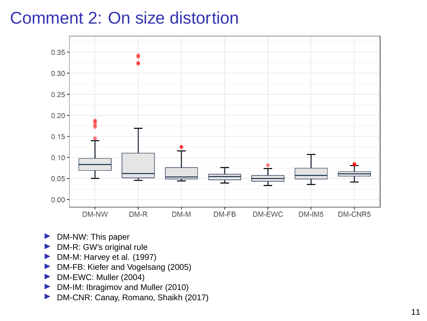## Comment 2: On size distortion



- $\triangleright$  DM-NW: This paper
- $\triangleright$  DM-R: GW's original rule
- In DM-M: Harvey et al. (1997)
- **IN** DM-FB: Kiefer and Vogelsang (2005)
- **DM-EWC: Muller (2004)**
- In DM-IM: Ibragimov and Muller (2010)
- **DM-CNR: Canay, Romano, Shaikh (2017)**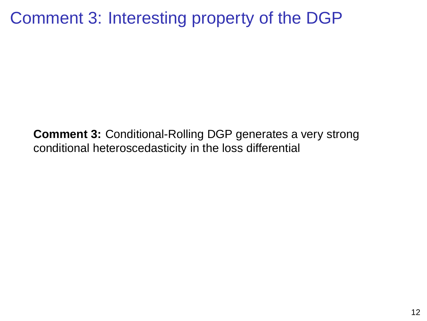## Comment 3: Interesting property of the DGP

**Comment 3:** Conditional-Rolling DGP generates a very strong conditional heteroscedasticity in the loss differential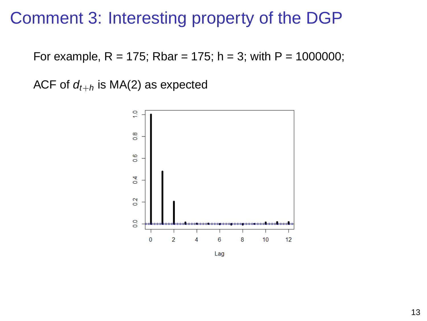### Comment 3: Interesting property of the DGP

For example,  $R = 175$ ; Rbar = 175; h = 3; with  $P = 1000000$ ;

ACF of  $d_{t+h}$  is MA(2) as expected



Lag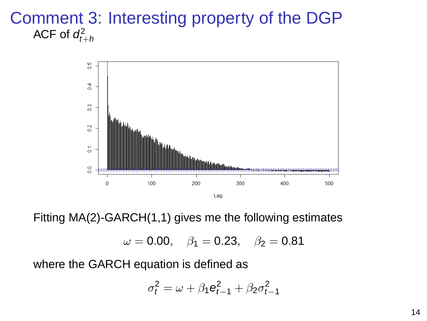#### Comment 3: Interesting property of the DGP ACF of  $d_{t+h}^2$



Fitting MA(2)-GARCH(1,1) gives me the following estimates

 $\omega = 0.00, \quad \beta_1 = 0.23, \quad \beta_2 = 0.81$ 

where the GARCH equation is defined as

$$
\sigma_t^2 = \omega + \beta_1 \mathbf{e}_{t-1}^2 + \beta_2 \sigma_{t-1}^2
$$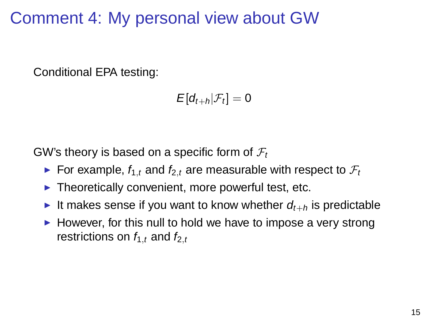## Comment 4: My personal view about GW

Conditional EPA testing:

$$
E[d_{t+h}|\mathcal{F}_t] = 0
$$

GW's theory is based on a specific form of  $\mathcal{F}_t$ 

- For example,  $f_{1,t}$  and  $f_{2,t}$  are measurable with respect to  $\mathcal{F}_t$
- $\blacktriangleright$  Theoretically convenient, more powerful test, etc.
- It makes sense if you want to know whether  $d_{t+h}$  is predictable
- $\blacktriangleright$  However, for this null to hold we have to impose a very strong restrictions on  $f_{1,t}$  and  $f_{2,t}$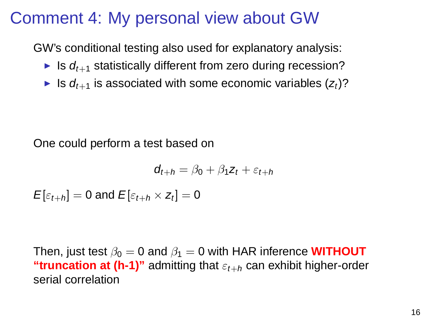## Comment 4: My personal view about GW

GW's conditional testing also used for explanatory analysis:

- If Is  $d_{t+1}$  statistically different from zero during recession?
- If Is  $d_{t+1}$  is associated with some economic variables  $(z_t)$ ?

One could perform a test based on

$$
d_{t+h} = \beta_0 + \beta_1 z_t + \varepsilon_{t+h}
$$

 $E[\varepsilon_{t+h}] = 0$  and  $E[\varepsilon_{t+h} \times z_t] = 0$ 

Then, just test  $\beta_0 = 0$  and  $\beta_1 = 0$  with HAR inference **WITHOUT "truncation at (h-1)"** admitting that  $\varepsilon_{t+h}$  can exhibit higher-order serial correlation